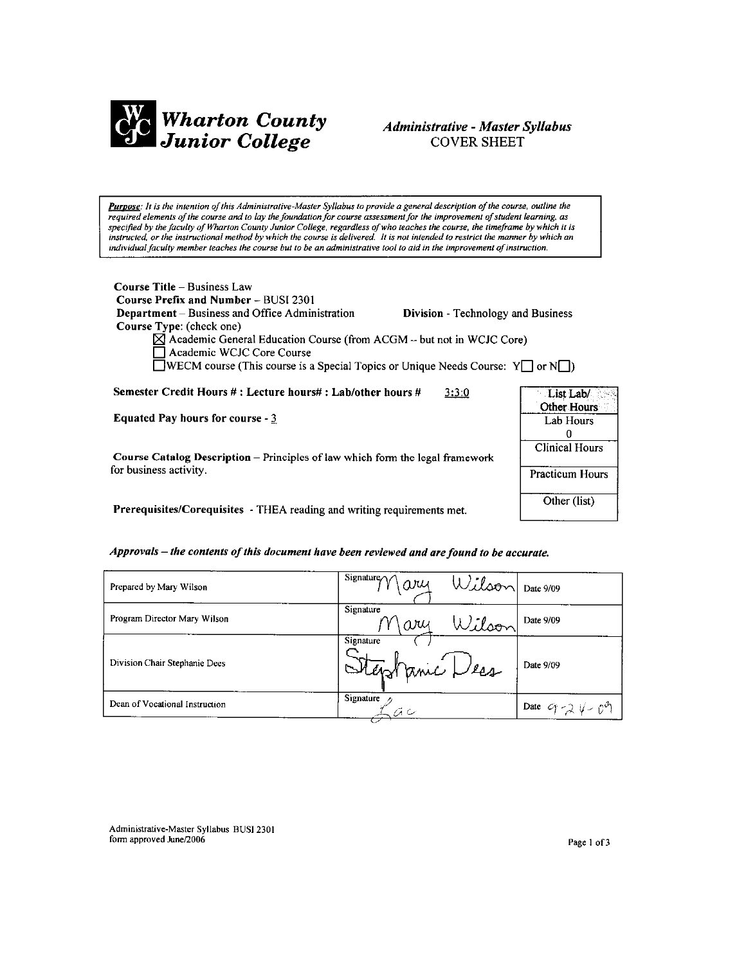

# Administrative - Master Syllabus **COVER SHEET**

Purpose: It is the intention of this Administrative-Master Syllabus to provide a general description of the course, outline the required elements of the course and to lay the foundation for course assessment for the improvement of student learning, as specified by the faculty of Wharton County Junior College, regardless of who teaches the course, the timeframe by which it is instructed, or the instructional method by which the course is delivered. It is not intended to restrict the manner by which an individual faculty member teaches the course but to be an administrative tool to aid in the improvement of instruction.

| <b>Course Title – Business Law</b><br><b>Course Prefix and Number – BUSI 2301</b>                    |                                           |             |
|------------------------------------------------------------------------------------------------------|-------------------------------------------|-------------|
| <b>Department</b> – Business and Office Administration                                               | <b>Division</b> - Technology and Business |             |
| Course Type: (check one)                                                                             |                                           |             |
| $\boxtimes$ Academic General Education Course (from ACGM - but not in WCJC Core)                     |                                           |             |
| Academic WCJC Core Course                                                                            |                                           |             |
| <b>WECM</b> course (This course is a Special Topics or Unique Needs Course: $Y \cap Y$ or $N \cap Y$ |                                           |             |
|                                                                                                      |                                           |             |
| Semester Credit Hours #: Lecture hours#: Lab/other hours #                                           | 3:3:0                                     | List Lab/   |
|                                                                                                      |                                           | Other Hours |
| <b>Equated Pay hours for course - 3</b>                                                              |                                           | Lab Hours   |
|                                                                                                      |                                           |             |

Course Catalog Description - Principles of law which form the legal framework for business activity.

Prerequisites/Corequisites - THEA reading and writing requirements met.

### Approvals - the contents of this document have been reviewed and are found to be accurate.

| Prepared by Mary Wilson        | $\frac{1}{\sigma}$ Signature $\gamma \gamma \alpha \gamma$<br>Wilson Date 9/09 |                           |
|--------------------------------|--------------------------------------------------------------------------------|---------------------------|
| Program Director Mary Wilson   | Signature<br>Wilson<br>$\omega$ y                                              | Date 9/09                 |
| Division Chair Stephanie Dees  | Signature<br>Stephanic Dess                                                    | Date 9/09                 |
| Dean of Vocational Instruction | Signature                                                                      | Date $9 - 2 \sqrt{-} 0^9$ |

Administrative-Master Syllabus BUSI 2301 form approved June/2006

**Clinical Hours** 

Practicum Hours

Other (list)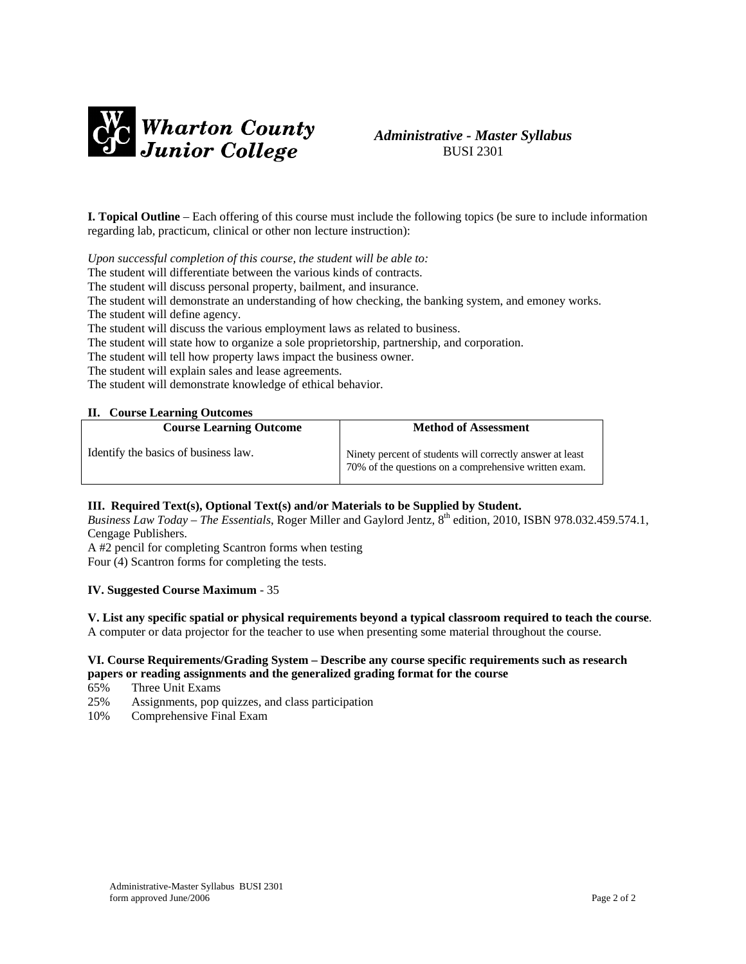



**I. Topical Outline** – Each offering of this course must include the following topics (be sure to include information regarding lab, practicum, clinical or other non lecture instruction):

*Upon successful completion of this course, the student will be able to:* 

The student will differentiate between the various kinds of contracts.

The student will discuss personal property, bailment, and insurance.

The student will demonstrate an understanding of how checking, the banking system, and emoney works. The student will define agency.

The student will discuss the various employment laws as related to business.

The student will state how to organize a sole proprietorship, partnership, and corporation.

The student will tell how property laws impact the business owner.

The student will explain sales and lease agreements.

The student will demonstrate knowledge of ethical behavior.

#### **II. Course Learning Outcomes**

| <b>Course Learning Outcome</b>       | <b>Method of Assessment</b>                                                                                        |  |
|--------------------------------------|--------------------------------------------------------------------------------------------------------------------|--|
| Identify the basics of business law. | Ninety percent of students will correctly answer at least<br>70% of the questions on a comprehensive written exam. |  |

### **III. Required Text(s), Optional Text(s) and/or Materials to be Supplied by Student.**

*Business Law Today – The Essentials*, Roger Miller and Gaylord Jentz, 8th edition, 2010, ISBN 978.032.459.574.1, Cengage Publishers.

A #2 pencil for completing Scantron forms when testing

Four (4) Scantron forms for completing the tests.

## **IV. Suggested Course Maximum** - 35

### **V. List any specific spatial or physical requirements beyond a typical classroom required to teach the course**.

A computer or data projector for the teacher to use when presenting some material throughout the course.

### **VI. Course Requirements/Grading System – Describe any course specific requirements such as research papers or reading assignments and the generalized grading format for the course**

- 65% Three Unit Exams
- 25% Assignments, pop quizzes, and class participation
- 10% Comprehensive Final Exam